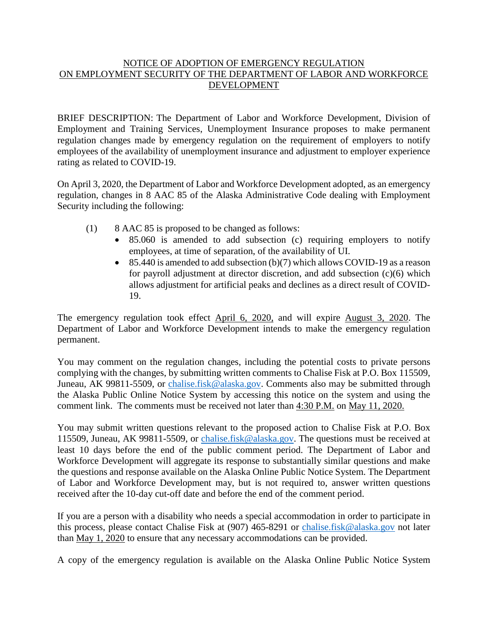## NOTICE OF ADOPTION OF EMERGENCY REGULATION ON EMPLOYMENT SECURITY OF THE DEPARTMENT OF LABOR AND WORKFORCE DEVELOPMENT

BRIEF DESCRIPTION: The Department of Labor and Workforce Development, Division of Employment and Training Services, Unemployment Insurance proposes to make permanent regulation changes made by emergency regulation on the requirement of employers to notify employees of the availability of unemployment insurance and adjustment to employer experience rating as related to COVID-19.

On April 3, 2020, the Department of Labor and Workforce Development adopted, as an emergency regulation, changes in 8 AAC 85 of the Alaska Administrative Code dealing with Employment Security including the following:

- (1) 8 AAC 85 is proposed to be changed as follows:
	- 85.060 is amended to add subsection (c) requiring employers to notify employees, at time of separation, of the availability of UI.
	- $\bullet$  85.440 is amended to add subsection (b)(7) which allows COVID-19 as a reason for payroll adjustment at director discretion, and add subsection (c)(6) which allows adjustment for artificial peaks and declines as a direct result of COVID-19.

The emergency regulation took effect April 6, 2020, and will expire August 3, 2020. The Department of Labor and Workforce Development intends to make the emergency regulation permanent.

You may comment on the regulation changes, including the potential costs to private persons complying with the changes, by submitting written comments to Chalise Fisk at P.O. Box 115509, Juneau, AK 99811-5509, or [chalise.fisk@alaska.gov.](mailto:chalise.fisk@alaska.gov) Comments also may be submitted through the Alaska Public Online Notice System by accessing this notice on the system and using the comment link. The comments must be received not later than 4:30 P.M. on May 11, 2020.

You may submit written questions relevant to the proposed action to Chalise Fisk at P.O. Box 115509, Juneau, AK 99811-5509, or [chalise.fisk@alaska.gov.](mailto:chalise.fisk@alaska.gov) The questions must be received at least 10 days before the end of the public comment period. The Department of Labor and Workforce Development will aggregate its response to substantially similar questions and make the questions and response available on the Alaska Online Public Notice System. The Department of Labor and Workforce Development may, but is not required to, answer written questions received after the 10-day cut-off date and before the end of the comment period.

If you are a person with a disability who needs a special accommodation in order to participate in this process, please contact Chalise Fisk at (907) 465-8291 or [chalise.fisk@alaska.gov](mailto:chalise.fisk@alaska.gov) not later than May 1, 2020 to ensure that any necessary accommodations can be provided.

A copy of the emergency regulation is available on the Alaska Online Public Notice System